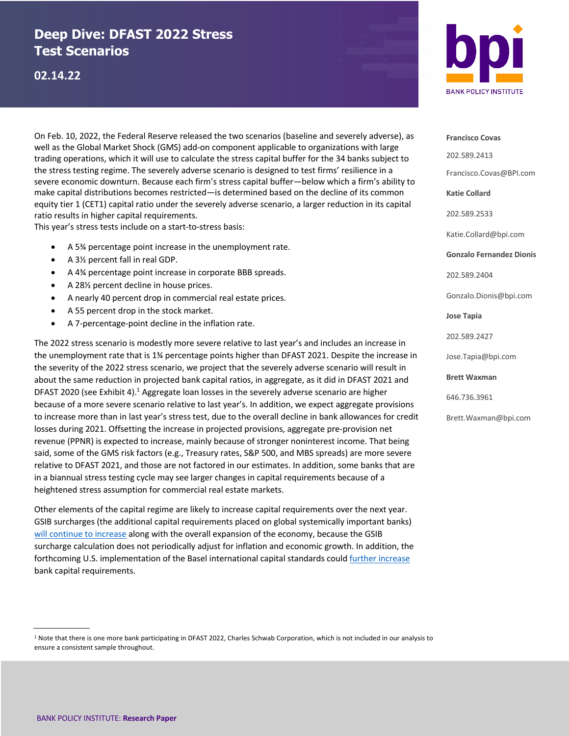# **Deep Dive: DFAST 2022 Stress Test Scenarios**

## **02.14.22**

On Feb. 10, 2022, the Federal Reserve released the two scenarios (baseline and severely adverse), as well as the Global Market Shock (GMS) add-on component applicable to organizations with large trading operations, which it will use to calculate the stress capital buffer for the 34 banks subject to the stress testing regime. The severely adverse scenario is designed to test firms' resilience in a severe economic downturn. Because each firm's stress capital buffer—below which a firm's ability to make capital distributions becomes restricted—is determined based on the decline of its common equity tier 1 (CET1) capital ratio under the severely adverse scenario, a larger reduction in its capital ratio results in higher capital requirements.

This year's stress tests include on a start-to-stress basis:

- A 5¾ percentage point increase in the unemployment rate.
- A 3½ percent fall in real GDP.
- A 4¾ percentage point increase in corporate BBB spreads.
- A 28½ percent decline in house prices.
- A nearly 40 percent drop in commercial real estate prices.
- A 55 percent drop in the stock market.
- A 7-percentage-point decline in the inflation rate.

The 2022 stress scenario is modestly more severe relative to last year's and includes an increase in the unemployment rate that is 1¾ percentage points higher than DFAST 2021. Despite the increase in the severity of the 2022 stress scenario, we project that the severely adverse scenario will result in about the same reduction in projected bank capital ratios, in aggregate, as it did in DFAST 2021 and DFAST 2020 (see Exhibit 4).<sup>1</sup> Aggregate loan losses in the severely adverse scenario are higher because of a more severe scenario relative to last year's. In addition, we expect aggregate provisions to increase more than in last year's stress test, due to the overall decline in bank allowances for credit losses during 2021. Offsetting the increase in projected provisions, aggregate pre-provision net revenue (PPNR) is expected to increase, mainly because of stronger noninterest income. That being said, some of the GMS risk factors (e.g., Treasury rates, S&P 500, and MBS spreads) are more severe relative to DFAST 2021, and those are not factored in our estimates. In addition, some banks that are in a biannual stress testing cycle may see larger changes in capital requirements because of a heightened stress assumption for commercial real estate markets.

Other elements of the capital regime are likely to increase capital requirements over the next year. GSIB surcharges (the additional capital requirements placed on global systemically important banks) will continue to increase along with the overall expansion of the economy, because the GSIB surcharge calculation does not periodically adjust for inflation and economic growth. In addition, the forthcoming U.S. implementation of the Basel international capital standards could further increase bank capital requirements.





**Francisco Covas** 202.589.2413 Francisco.Covas@BPI.com **Katie Collard** 202.589.2533 Katie.Collard@bpi.com **Gonzalo Fernandez Dionis** 202.589.2404 Gonzalo.Dionis@bpi.com **Jose Tapia** 202.589.2427 Jose.Tapia@bpi.com **Brett Waxman** 646.736.3961 Brett.Waxman@bpi.com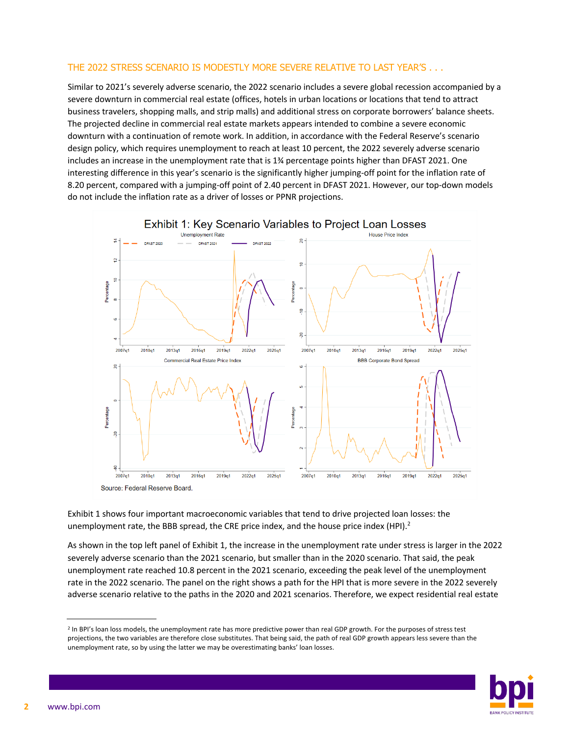#### THE 2022 STRESS SCENARIO IS MODESTLY MORE SEVERE RELATIVE TO LAST YEAR'S . . .

Similar to 2021's severely adverse scenario, the 2022 scenario includes a severe global recession accompanied by a severe downturn in commercial real estate (offices, hotels in urban locations or locations that tend to attract business travelers, shopping malls, and strip malls) and additional stress on corporate borrowers' balance sheets. The projected decline in commercial real estate markets appears intended to combine a severe economic downturn with a continuation of remote work. In addition, in accordance with the Federal Reserve's scenario design policy, which requires unemployment to reach at least 10 percent, the 2022 severely adverse scenario includes an increase in the unemployment rate that is 1¾ percentage points higher than DFAST 2021. One interesting difference in this year's scenario is the significantly higher jumping-off point for the inflation rate of 8.20 percent, compared with a jumping-off point of 2.40 percent in DFAST 2021. However, our top-down models do not include the inflation rate as a driver of losses or PPNR projections.



Exhibit 1 shows four important macroeconomic variables that tend to drive projected loan losses: the unemployment rate, the BBB spread, the CRE price index, and the house price index (HPI). $^2$ 

As shown in the top left panel of Exhibit 1, the increase in the unemployment rate under stress is larger in the 2022 severely adverse scenario than the 2021 scenario, but smaller than in the 2020 scenario. That said, the peak unemployment rate reached 10.8 percent in the 2021 scenario, exceeding the peak level of the unemployment rate in the 2022 scenario. The panel on the right shows a path for the HPI that is more severe in the 2022 severely adverse scenario relative to the paths in the 2020 and 2021 scenarios. Therefore, we expect residential real estate

<sup>&</sup>lt;sup>2</sup> In BPI's loan loss models, the unemployment rate has more predictive power than real GDP growth. For the purposes of stress test projections, the two variables are therefore close substitutes. That being said, the path of real GDP growth appears less severe than the unemployment rate, so by using the latter we may be overestimating banks' loan losses.

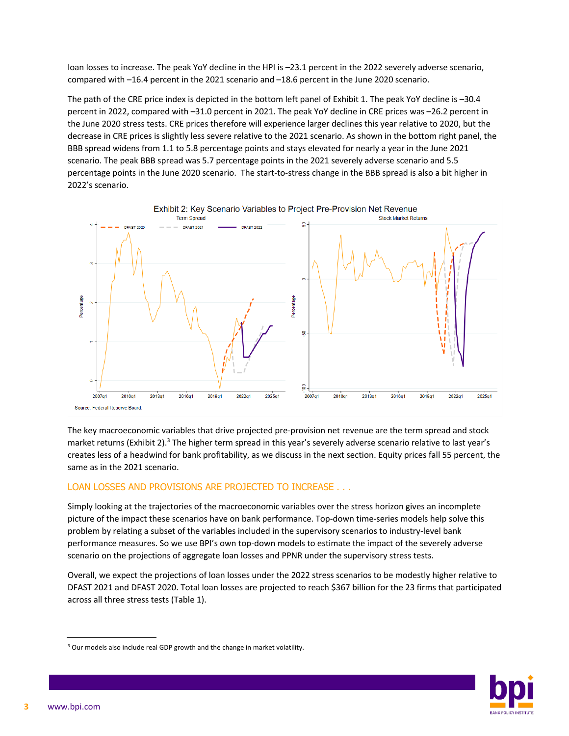loan losses to increase. The peak YoY decline in the HPI is –23.1 percent in the 2022 severely adverse scenario, compared with –16.4 percent in the 2021 scenario and –18.6 percent in the June 2020 scenario.

The path of the CRE price index is depicted in the bottom left panel of Exhibit 1. The peak YoY decline is –30.4 percent in 2022, compared with –31.0 percent in 2021. The peak YoY decline in CRE prices was –26.2 percent in the June 2020 stress tests. CRE prices therefore will experience larger declines this year relative to 2020, but the decrease in CRE prices is slightly less severe relative to the 2021 scenario. As shown in the bottom right panel, the BBB spread widens from 1.1 to 5.8 percentage points and stays elevated for nearly a year in the June 2021 scenario. The peak BBB spread was 5.7 percentage points in the 2021 severely adverse scenario and 5.5 percentage points in the June 2020 scenario. The start-to-stress change in the BBB spread is also a bit higher in 2022's scenario.



The key macroeconomic variables that drive projected pre-provision net revenue are the term spread and stock market returns (Exhibit 2).<sup>3</sup> The higher term spread in this year's severely adverse scenario relative to last year's creates less of a headwind for bank profitability, as we discuss in the next section. Equity prices fall 55 percent, the same as in the 2021 scenario.

#### LOAN LOSSES AND PROVISIONS ARE PROJECTED TO INCREASE . . .

Simply looking at the trajectories of the macroeconomic variables over the stress horizon gives an incomplete picture of the impact these scenarios have on bank performance. Top-down time-series models help solve this problem by relating a subset of the variables included in the supervisory scenarios to industry-level bank performance measures. So we use BPI's own top-down models to estimate the impact of the severely adverse scenario on the projections of aggregate loan losses and PPNR under the supervisory stress tests.

Overall, we expect the projections of loan losses under the 2022 stress scenarios to be modestly higher relative to DFAST 2021 and DFAST 2020. Total loan losses are projected to reach \$367 billion for the 23 firms that participated across all three stress tests (Table 1).



<sup>&</sup>lt;sup>3</sup> Our models also include real GDP growth and the change in market volatility.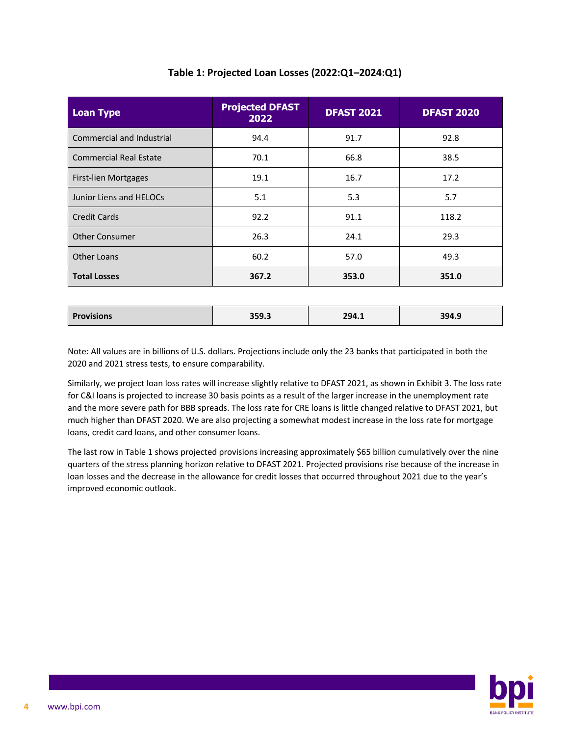| <b>Projected DFAST</b><br>2022 | <b>DFAST 2021</b> | <b>DFAST 2020</b> |
|--------------------------------|-------------------|-------------------|
| 94.4                           | 91.7              | 92.8              |
| 70.1                           | 66.8              | 38.5              |
| 19.1                           | 16.7              | 17.2              |
| 5.1                            | 5.3               | 5.7               |
| 92.2                           | 91.1              | 118.2             |
| 26.3                           | 24.1              | 29.3              |
| 60.2                           | 57.0              | 49.3              |
| 367.2                          | 353.0             | 351.0             |
|                                |                   |                   |

## **Table 1: Projected Loan Losses (2022:Q1–2024:Q1)**

| Drc<br>ovisions | 2502<br>こつつ・コ | 294.1 | 394.9 |
|-----------------|---------------|-------|-------|
|                 |               |       |       |

Note: All values are in billions of U.S. dollars. Projections include only the 23 banks that participated in both the 2020 and 2021 stress tests, to ensure comparability.

Similarly, we project loan loss rates will increase slightly relative to DFAST 2021, as shown in Exhibit 3. The loss rate for C&I loans is projected to increase 30 basis points as a result of the larger increase in the unemployment rate and the more severe path for BBB spreads. The loss rate for CRE loans is little changed relative to DFAST 2021, but much higher than DFAST 2020. We are also projecting a somewhat modest increase in the loss rate for mortgage loans, credit card loans, and other consumer loans.

The last row in Table 1 shows projected provisions increasing approximately \$65 billion cumulatively over the nine quarters of the stress planning horizon relative to DFAST 2021. Projected provisions rise because of the increase in loan losses and the decrease in the allowance for credit losses that occurred throughout 2021 due to the year's improved economic outlook.

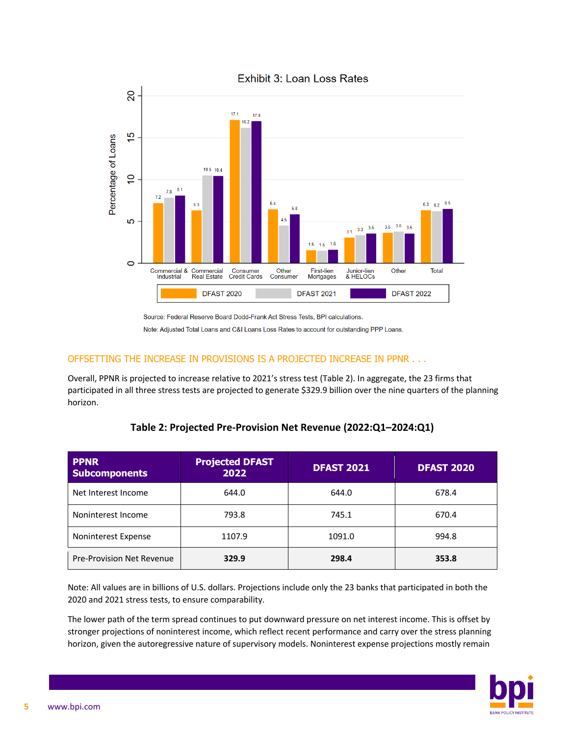

## OFFSETTING THE INCREASE IN PROVISIONS IS A PROJECTED INCREASE IN PPNR . . .

Overall, PPNR is projected to increase relative to 2021's stress test (Table 2). In aggregate, the 23 firms that participated in all three stress tests are projected to generate \$329.9 billion over the nine quarters of the planning horizon.

| <b>PPNR</b><br><b>Subcomponents</b> | <b>Projected DFAST</b><br>2022 | <b>DFAST 2021</b> | <b>DFAST 2020</b> |
|-------------------------------------|--------------------------------|-------------------|-------------------|
| Net Interest Income                 | 644.0                          | 644.0             | 678.4             |
| Noninterest Income                  | 793.8                          | 745.1             | 670.4             |
| Noninterest Expense                 | 1107.9                         | 1091.0            | 994.8             |
| <b>Pre-Provision Net Revenue</b>    | 329.9                          | 298.4             | 353.8             |

| Table 2: Projected Pre-Provision Net Revenue (2022:Q1-2024:Q1) |
|----------------------------------------------------------------|
|----------------------------------------------------------------|

Note: All values are in billions of U.S. dollars. Projections include only the 23 banks that participated in both the 2020 and 2021 stress tests, to ensure comparability.

The lower path of the term spread continues to put downward pressure on net interest income. This is offset by stronger projections of noninterest income, which reflect recent performance and carry over the stress planning horizon, given the autoregressive nature of supervisory models. Noninterest expense projections mostly remain

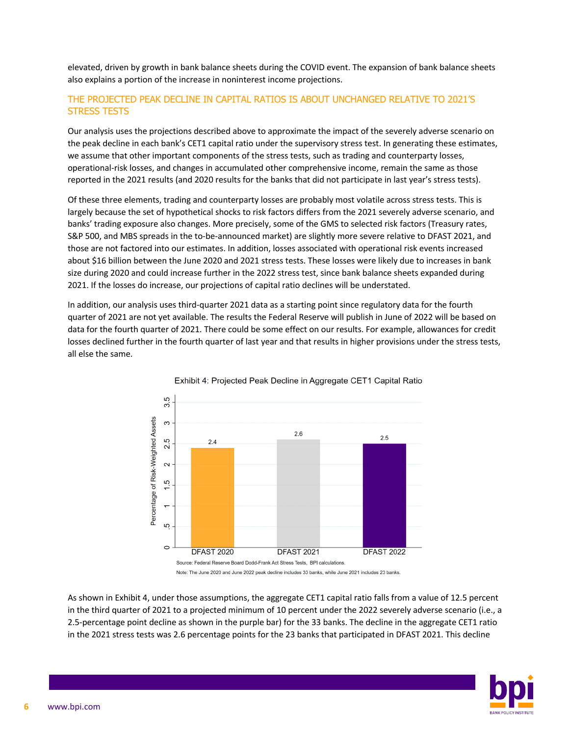elevated, driven by growth in bank balance sheets during the COVID event. The expansion of bank balance sheets also explains a portion of the increase in noninterest income projections.

## THE PROJECTED PEAK DECLINE IN CAPITAL RATIOS IS ABOUT UNCHANGED RELATIVE TO 2021'S STRESS TESTS

Our analysis uses the projections described above to approximate the impact of the severely adverse scenario on the peak decline in each bank's CET1 capital ratio under the supervisory stress test. In generating these estimates, we assume that other important components of the stress tests, such as trading and counterparty losses, operational-risk losses, and changes in accumulated other comprehensive income, remain the same as those reported in the 2021 results (and 2020 results for the banks that did not participate in last year's stress tests).

Of these three elements, trading and counterparty losses are probably most volatile across stress tests. This is largely because the set of hypothetical shocks to risk factors differs from the 2021 severely adverse scenario, and banks' trading exposure also changes. More precisely, some of the GMS to selected risk factors (Treasury rates, S&P 500, and MBS spreads in the to-be-announced market) are slightly more severe relative to DFAST 2021, and those are not factored into our estimates. In addition, losses associated with operational risk events increased about \$16 billion between the June 2020 and 2021 stress tests. These losses were likely due to increases in bank size during 2020 and could increase further in the 2022 stress test, since bank balance sheets expanded during 2021. If the losses do increase, our projections of capital ratio declines will be understated.

In addition, our analysis uses third-quarter 2021 data as a starting point since regulatory data for the fourth quarter of 2021 are not yet available. The results the Federal Reserve will publish in June of 2022 will be based on data for the fourth quarter of 2021. There could be some effect on our results. For example, allowances for credit losses declined further in the fourth quarter of last year and that results in higher provisions under the stress tests, all else the same.



As shown in Exhibit 4, under those assumptions, the aggregate CET1 capital ratio falls from a value of 12.5 percent in the third quarter of 2021 to a projected minimum of 10 percent under the 2022 severely adverse scenario (i.e., a 2.5-percentage point decline as shown in the purple bar) for the 33 banks. The decline in the aggregate CET1 ratio in the 2021 stress tests was 2.6 percentage points for the 23 banks that participated in DFAST 2021. This decline